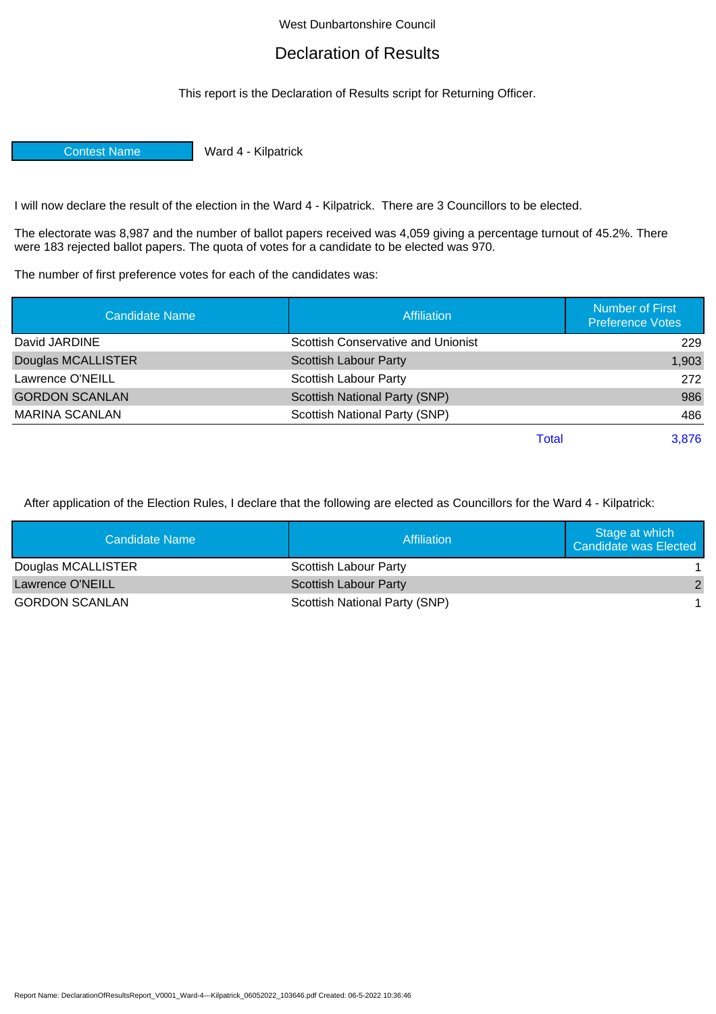## West Dunbartonshire Council

## Declaration of Results

This report is the Declaration of Results script for Returning Officer.

Contest Name Ward 4 - Kilpatrick

I will now declare the result of the election in the Ward 4 - Kilpatrick. There are 3 Councillors to be elected.

The electorate was 8,987 and the number of ballot papers received was 4,059 giving a percentage turnout of 45.2%. There were 183 rejected ballot papers. The quota of votes for a candidate to be elected was 970.

The number of first preference votes for each of the candidates was:

| Candidate Name        | <b>Affiliation</b>                 | <b>Number of First</b><br><b>Preference Votes</b> |
|-----------------------|------------------------------------|---------------------------------------------------|
| David JARDINE         | Scottish Conservative and Unionist | 229                                               |
| Douglas MCALLISTER    | <b>Scottish Labour Party</b>       | 1,903                                             |
| Lawrence O'NEILL      | <b>Scottish Labour Party</b>       | 272                                               |
| <b>GORDON SCANLAN</b> | Scottish National Party (SNP)      | 986                                               |
| <b>MARINA SCANLAN</b> | Scottish National Party (SNP)      | 486                                               |
|                       | Total                              | 3,876                                             |

After application of the Election Rules, I declare that the following are elected as Councillors for the Ward 4 - Kilpatrick:

| Candidate Name          | Affiliation                   | Stage at which<br>Candidate was Elected |
|-------------------------|-------------------------------|-----------------------------------------|
| Douglas MCALLISTER      | Scottish Labour Party         |                                         |
| <b>Lawrence O'NEILL</b> | Scottish Labour Party         |                                         |
| <b>GORDON SCANLAN</b>   | Scottish National Party (SNP) |                                         |